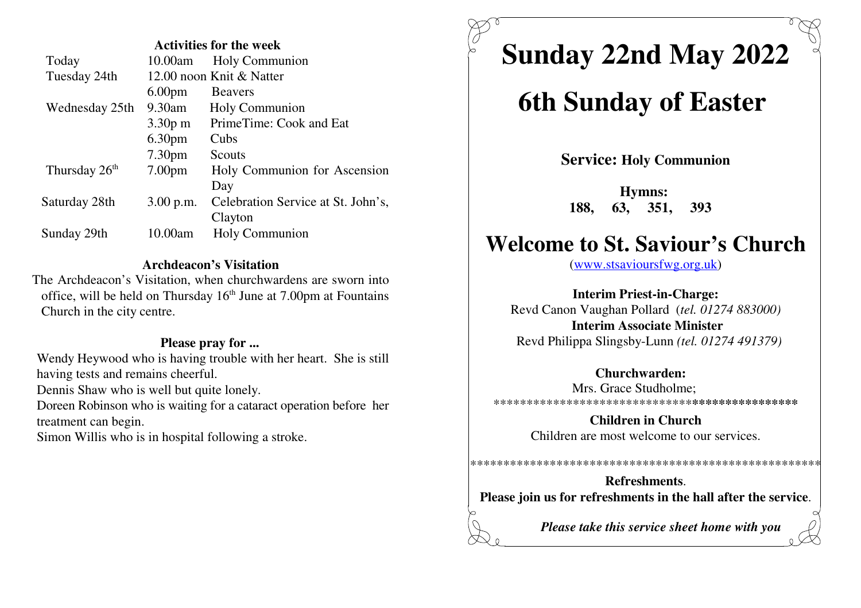| <b>Activities for the week</b> |                    |                                    |
|--------------------------------|--------------------|------------------------------------|
| Today                          | 10.00am            | <b>Holy Communion</b>              |
| Tuesday 24th                   |                    | 12.00 noon Knit & Natter           |
|                                | 6.00 <sub>pm</sub> | <b>Beavers</b>                     |
| Wednesday 25th                 | 9.30am             | Holy Communion                     |
|                                | $3.30p$ m          | PrimeTime: Cook and Eat            |
|                                | 6.30 <sub>pm</sub> | Cubs                               |
|                                | 7.30 <sub>pm</sub> | Scouts                             |
| Thursday 26 <sup>th</sup>      | 7.00 <sub>pm</sub> | Holy Communion for Ascension       |
|                                |                    | Day                                |
| Saturday 28th                  | 3.00 p.m.          | Celebration Service at St. John's, |
|                                |                    | Clayton                            |
| Sunday 29th                    | 10.00am            | Holy Communion                     |

## **Archdeacon's Visitation**

 The Archdeacon's Visitation, when churchwardens are sworn intooffice, will be held on Thursday  $16<sup>th</sup>$  June at 7.00pm at Fountains Church in the city centre.

## **Please pray for ...**

 Wendy Heywood who is having trouble with her heart. She is stillhaving tests and remains cheerful.

Dennis Shaw who is well but quite lonely.

Doreen Robinson who is waiting for a cataract operation before hertreatment can begin.

Simon Willis who is in hospital following a stroke.

# **Sunday 22nd May 2022**

# **6th Sunday of Easter**

**Service: Holy Communion**

**Hymns: 188, 63, 351, 393** 

## **Welcome to St. Saviour's Church**

(www.stsavioursfwg.org.uk)

**Interim Priest-in-Charge:** Revd Canon Vaughan Pollard (*tel. 01274 883000)***Interim Associate Minister**Revd Philippa Slingsby-Lunn *(tel. 01274 491379)*

## **Churchwarden:**

 Mrs. Grace Studholme; \*\*\*\*\*\*\*\*\*\*\*\*\*\*\*\*\*\*\*\*\*\*\*\*\*\*\*\*\*\***\*\*\*\*\*\*\*\*\*\*\*\*\*\*\*\***

> **Children in Church**Children are most welcome to our services.

**Refreshments**.**Please join us for refreshments in the hall after the service**.

\*\*\*\*\*\*\*\*\*\*\*\*\*\*\*\*\*\*\*\*\*\*\*\*\*\*\*\*\*\*\*\*\*\*\*\*\*\*\*\*\*\*\*\*\*\*\*\*\*\*\*\*\*

*Please take this service sheet home with you*